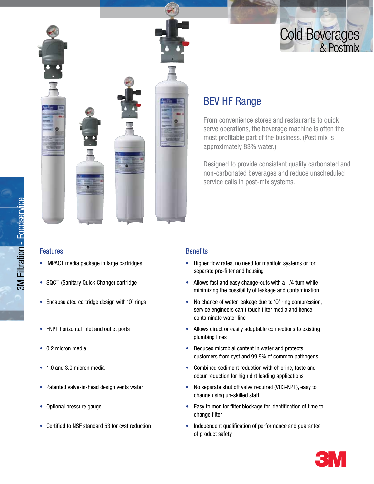# **Cold Beverages**<br>& Postmix



#### Features

- IMPACT media package in large cartridges
- SQC™ (Sanitary Quick Change) cartridge
- Encapsulated cartridge design with 'O' rings
- FNPT horizontal inlet and outlet ports
- 0.2 micron media
- 1.0 and 3.0 micron media
- Patented valve-in-head design vents water
- Optional pressure gauge
- Certified to NSF standard 53 for cyst reduction

## BEV HF Range

From convenience stores and restaurants to quick serve operations, the beverage machine is often the most profitable part of the business. (Post mix is approximately 83% water.)

Designed to provide consistent quality carbonated and non-carbonated beverages and reduce unscheduled service calls in post-mix systems.

### **Benefits**

- Higher flow rates, no need for manifold systems or for separate pre-filter and housing
- Allows fast and easy change-outs with a 1/4 turn while minimizing the possibility of leakage and contamination
- No chance of water leakage due to 'O' ring compression, service engineers can't touch filter media and hence contaminate water line
- Allows direct or easily adaptable connections to existing plumbing lines
- Reduces microbial content in water and protects customers from cyst and 99.9% of common pathogens
- Combined sediment reduction with chlorine, taste and odour reduction for high dirt loading applications
- No separate shut off valve required (VH3-NPT), easy to change using un-skilled staff
- Easy to monitor filter blockage for identification of time to change filter
- Independent qualification of performance and guarantee of product safety